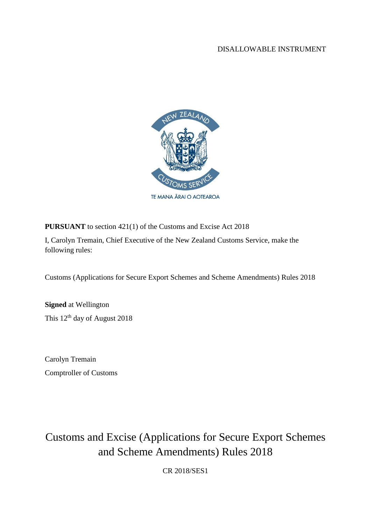#### DISALLOWABLE INSTRUMENT



**PURSUANT** to section 421(1) of the Customs and Excise Act 2018

I, Carolyn Tremain, Chief Executive of the New Zealand Customs Service, make the following rules:

Customs (Applications for Secure Export Schemes and Scheme Amendments) Rules 2018

**Signed** at Wellington This 12<sup>th</sup> day of August 2018

Carolyn Tremain Comptroller of Customs

Customs and Excise (Applications for Secure Export Schemes and Scheme Amendments) Rules 2018

CR 2018/SES1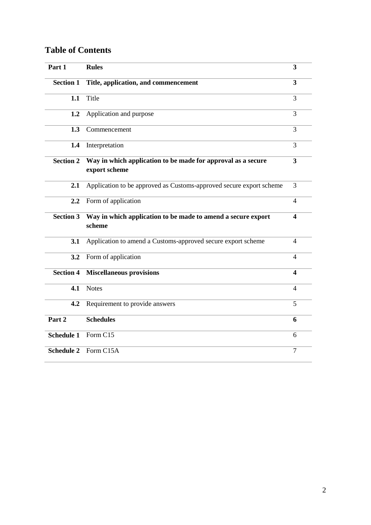# **Table of Contents**

| Part 1            | <b>Rules</b>                                                                  |                |  |  |  |
|-------------------|-------------------------------------------------------------------------------|----------------|--|--|--|
| <b>Section 1</b>  | Title, application, and commencement                                          |                |  |  |  |
| 1.1               | Title                                                                         | 3              |  |  |  |
| 1.2               | Application and purpose                                                       | 3              |  |  |  |
| 1.3               | Commencement                                                                  |                |  |  |  |
| 1.4               | Interpretation                                                                | 3              |  |  |  |
| <b>Section 2</b>  | Way in which application to be made for approval as a secure<br>export scheme |                |  |  |  |
| 2.1               | Application to be approved as Customs-approved secure export scheme           | 3              |  |  |  |
| 2.2               | Form of application                                                           |                |  |  |  |
| <b>Section 3</b>  | Way in which application to be made to amend a secure export<br>scheme        |                |  |  |  |
| 3.1               | Application to amend a Customs-approved secure export scheme                  | $\overline{4}$ |  |  |  |
| 3.2               | Form of application                                                           |                |  |  |  |
| <b>Section 4</b>  | <b>Miscellaneous provisions</b>                                               |                |  |  |  |
| 4.1               | <b>Notes</b>                                                                  | 4              |  |  |  |
| 4.2               | Requirement to provide answers                                                | 5              |  |  |  |
| Part 2            | <b>Schedules</b>                                                              | 6              |  |  |  |
| <b>Schedule 1</b> | Form C15                                                                      | 6              |  |  |  |
| <b>Schedule 2</b> | Form C15A                                                                     | $\overline{7}$ |  |  |  |
|                   |                                                                               |                |  |  |  |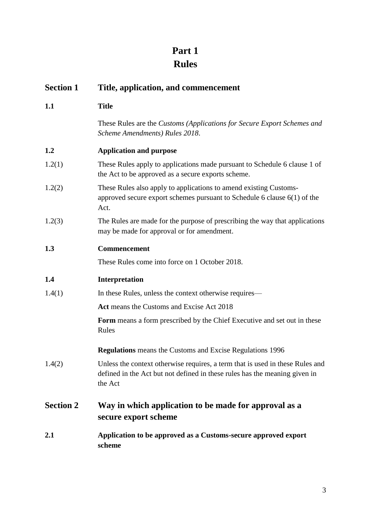# **Part 1 Rules**

| <b>Section 1</b> | Title, application, and commencement                                                                                                                                   |  |  |  |
|------------------|------------------------------------------------------------------------------------------------------------------------------------------------------------------------|--|--|--|
| 1.1              | <b>Title</b>                                                                                                                                                           |  |  |  |
|                  | These Rules are the Customs (Applications for Secure Export Schemes and<br>Scheme Amendments) Rules 2018.                                                              |  |  |  |
| 1.2              | <b>Application and purpose</b>                                                                                                                                         |  |  |  |
| 1.2(1)           | These Rules apply to applications made pursuant to Schedule 6 clause 1 of<br>the Act to be approved as a secure exports scheme.                                        |  |  |  |
| 1.2(2)           | These Rules also apply to applications to amend existing Customs-<br>approved secure export schemes pursuant to Schedule $6$ clause $6(1)$ of the<br>Act.              |  |  |  |
| 1.2(3)           | The Rules are made for the purpose of prescribing the way that applications<br>may be made for approval or for amendment.                                              |  |  |  |
| 1.3              | <b>Commencement</b>                                                                                                                                                    |  |  |  |
|                  | These Rules come into force on 1 October 2018.                                                                                                                         |  |  |  |
| 1.4              | Interpretation                                                                                                                                                         |  |  |  |
| 1.4(1)           | In these Rules, unless the context otherwise requires—                                                                                                                 |  |  |  |
|                  | Act means the Customs and Excise Act 2018                                                                                                                              |  |  |  |
|                  | Form means a form prescribed by the Chief Executive and set out in these<br>Rules                                                                                      |  |  |  |
|                  | <b>Regulations</b> means the Customs and Excise Regulations 1996                                                                                                       |  |  |  |
| 1.4(2)           | Unless the context otherwise requires, a term that is used in these Rules and<br>defined in the Act but not defined in these rules has the meaning given in<br>the Act |  |  |  |
| <b>Section 2</b> | Way in which application to be made for approval as a<br>secure export scheme                                                                                          |  |  |  |
| 2.1              | Application to be approved as a Customs-secure approved export<br>scheme                                                                                               |  |  |  |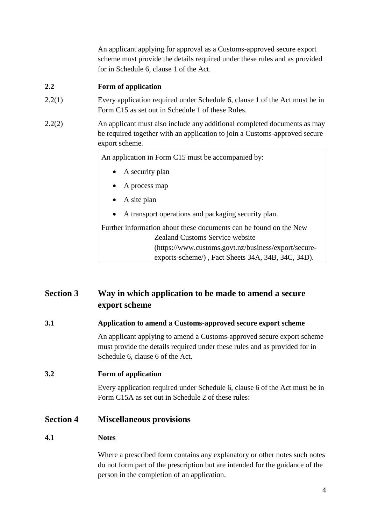An applicant applying for approval as a Customs-approved secure export scheme must provide the details required under these rules and as provided for in Schedule 6, clause 1 of the Act.

### **2.2 Form of application**

- 2.2(1) Every application required under Schedule 6, clause 1 of the Act must be in Form C15 as set out in Schedule 1 of these Rules.
- 2.2(2) An applicant must also include any additional completed documents as may be required together with an application to join a Customs-approved secure export scheme.

An application in Form C15 must be accompanied by:

- A security plan
- A process map
- A site plan
- A transport operations and packaging security plan.

Further information about these documents can be found on the New Zealand Customs Service website (https://www.customs.govt.nz/business/export/secureexports-scheme/) , Fact Sheets 34A, 34B, 34C, 34D).

## **Section 3 Way in which application to be made to amend a secure export scheme**

### **3.1 Application to amend a Customs-approved secure export scheme**

An applicant applying to amend a Customs-approved secure export scheme must provide the details required under these rules and as provided for in Schedule 6, clause 6 of the Act.

#### **3.2 Form of application**

Every application required under Schedule 6, clause 6 of the Act must be in Form C15A as set out in Schedule 2 of these rules:

### **Section 4 Miscellaneous provisions**

#### **4.1 Notes**

Where a prescribed form contains any explanatory or other notes such notes do not form part of the prescription but are intended for the guidance of the person in the completion of an application.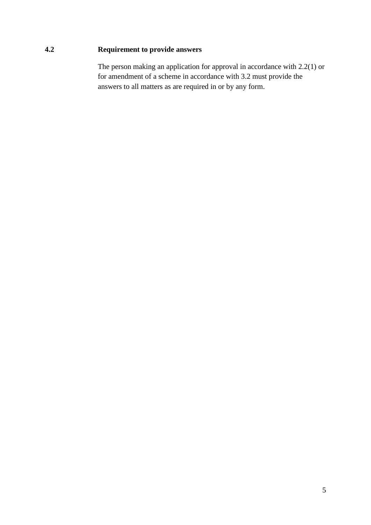### **4.2 Requirement to provide answers**

The person making an application for approval in accordance with 2.2(1) or for amendment of a scheme in accordance with 3.2 must provide the answers to all matters as are required in or by any form.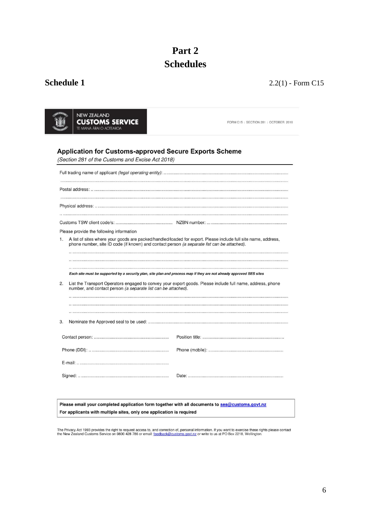# **Part 2 Schedules**

## **Schedule 1** 2.2(1) - Form C15

| NEW ZEALAND             |
|-------------------------|
| <b>CUSTOMS SERVICE</b>  |
| TE MANA ARAI O AOTEAROA |

FORM C15 | SECTION 281 | OCTOBER 2018

#### Application for Customs-approved Secure Exports Scheme

(Section 281 of the Customs and Excise Act 2018)

|    | Please provide the following information                                                                                                                                                                      |                                                                                                            |  |  |  |  |  |  |
|----|---------------------------------------------------------------------------------------------------------------------------------------------------------------------------------------------------------------|------------------------------------------------------------------------------------------------------------|--|--|--|--|--|--|
| 1. | A list of sites where your goods are packed/handled/loaded for export. Please include full site name, address,<br>phone number, site ID code (if known) and contact person (a separate list can be attached). |                                                                                                            |  |  |  |  |  |  |
|    |                                                                                                                                                                                                               |                                                                                                            |  |  |  |  |  |  |
|    | Each site must be supported by a security plan, site plan and process map if they are not already approved SES sites                                                                                          |                                                                                                            |  |  |  |  |  |  |
|    |                                                                                                                                                                                                               |                                                                                                            |  |  |  |  |  |  |
| 2. | number, and contact person (a separate list can be attached).                                                                                                                                                 | List the Transport Operators engaged to convey your export goods. Please include full name, address, phone |  |  |  |  |  |  |
|    |                                                                                                                                                                                                               |                                                                                                            |  |  |  |  |  |  |
|    |                                                                                                                                                                                                               |                                                                                                            |  |  |  |  |  |  |
| 3. |                                                                                                                                                                                                               |                                                                                                            |  |  |  |  |  |  |
|    |                                                                                                                                                                                                               |                                                                                                            |  |  |  |  |  |  |
|    |                                                                                                                                                                                                               |                                                                                                            |  |  |  |  |  |  |
|    |                                                                                                                                                                                                               |                                                                                                            |  |  |  |  |  |  |

Please email your completed application form together with all documents to ses@customs.govt.nz For applicants with multiple sites, only one application is required

The Privacy Act 1993 provides the right to request access to, and correction of, personal information. If you want to exercise these rights please contact<br>the New Zealand Customs Service on 0800 428 786 or email: feedback@